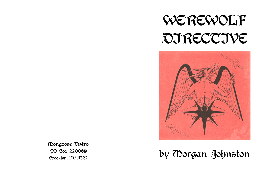



## by Morgan Johnston

Mongoose Distro PO Box 220069 Brooklyn, NY 11222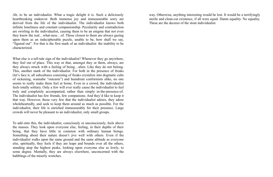Ah, to be an individualist. What a tragic delight it is. Such a deliciously heartbreaking endeavor. Both immense joy and immeasurable sorry are derived from the life of the individualist. The individualist knows both infinite loneliness and constant companionship. Peculiarity and contradiction are swirling in the individualist, causing them to be an enigma that not even they know the real…what-ness…of. Those closest to them are always gazing upon them as an indecipherable puzzle, unable to be, how shall we say, "figured out". For that is the first mark of an individualist: the inability to be characterized.

What else is a tell-tale sign of the individualist? Whenever they go anywhere, they feel out of place. This way or that, amongst they or them, always, are they always struck with a feeling of being…alien. Like they do not belong. This, another mark of the individualist. For both in the presence of freaks (let's face it, all subcultures consisting of freaks crystalize into dogmatic cults of sickening, wannabe "outcasts") and humdrum conformists alike, no one seems to really make them feel at home. Even in a crowd, the individualist feels totally solitary. Only a few will ever really cause the individualist to feel truly and completely accompanied, rather than simply in-the-presence-of. The individualist has few friends, few companions. And they'd like to keep it that way. However, those very few that the individualist adores, they adore wholeheartedly, and seek to keep them around as much as possible. For the individualist, their life is enriched immeasurably for their presence. Large crowds will never be pleasant to an individualist, only small groups.

To add onto this, the individualist, consciously or unconsciously, feels above the masses. They look upon everyone else, feeling, in their depths of their being, that they have little in common with ordinary human beings. Something about their nature doesn't jive well with others. Even if the individualist walks upon the same ground and the same altitude as everyone else, spiritually, they feels if they are leaps and bounds over all the others, standing atop the highest peaks, looking upon everyone else as lowly, to some degree. Mentally, they are always elsewhere, unconcerned with the babblings of the miserly wretches.

way. Otherwise, anything interesting would be lost. It would be a terrifyingly sterile and clean-cut existence, if all were equal. Damn equality. No equality. These are the decrees of the stout individualist.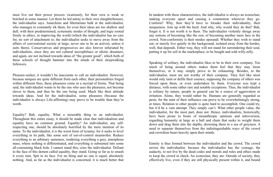In tandem with these characteristics, the individualist is always an iconoclast, making everyone upset and causing a commotion wherever they go. Conform? Why, then they'd have to forsake their individuality, their uniqueness. Join up with the herd. And why, why would they do that? Bah, forget it. It is not worth it to them. The individualist violently shrugs away any notions of becoming like the rest, of becoming another mere face in the crowd. Non-conformity is their modus operandi. Whether they wish to stand out, or merely live quietly in the background, isolated away from the hordes, well, that depends. Either way, they will not stand for surrendering their soul, putting it up for sell in the marketplace, to be bought and sold willy-nilly.

Speaking of solitary, the individualist likes to be in their own company. Too much of being around others makes them feel that they may loose themselves, or it may simply prove to be exhausting. Besides, to the individualist, most are not worthy of their company. They feel like most would only taint or defile their essence, supposing the company of others was forced upon them, or even undertaken by them. Everyone ices kept a distance, with some rather rare and notable exceptions. Thus, the individualist is solitary by nature, people in general can be a source of aggravation or irritation. Alone, they would rather be. Humans are generally regarded as pests, for the taint of their influence can prove to be overwhelmingly strong, at times. Relation to other people is quite hard to accomplish. One could try, but it'd be a vain attempt. They simply can't. What other people value, the individualist, for the most part, does not. Hence, individualists, historically, have been prone to bouts of misanthropic opinions and introversion, regarding humanity at large as a ball and chain that seeks to weight them down and drag them into the depths, drowning them in a sea of greyness. A need to separate themselves from the indistinguishable ways of the crowd and crowdism bears heavily upon their minds.

Enmity is thus formed between the individualist and the crowd. The crowd envies the individualist, because the individualist has the courage, the audacity, to not live by the dead codes and morals and rules and ethics made to keep the crowd in check. An iconoclast, they are. Outside of society, they effectively live, even if they are still physically present within it, and bound

must live out their power process vicariously, for their own is weak or botched in some manner. Let them be led astray to their own slaughterhouses, the individualist says. Anarchists and libertarians balk at the individualist, who manages to constantly irk them, for even their ideas are too shallow and dull, with their predetermined, systematic modes of thought, and logic rooted firmly in ethics, in improving the world (which the individualist has no care for, no sort of attachment to; the individualist seeks to move away from the affairs of conventional society at large, never one to be an activist, unless it suits them). Conservatives and progressives are also forever infuriated by individualists, since they are not cultural necrophiliacs or idiotic dreamers, and again, are not inclined towards ideas of "the greater good", which both of these schools of thought hammer into the minds of their sleepwalking followers.

Pleasure-seeker, it wouldn't be inaccurate to call an individualist. However, because uniques are quite different from each other, their personalities forged within different fires, these pleasures come in a myriad of forms. That being said, the individualist wants to be the one who uses the pleasures, not become slaves to them, and thus be the one being used. Much like their attitude towards ideas. And for the individualist, some pleasures (because the individualist is always Life-affirming) may prove to be trouble than they're worth.

Equality? Bah, equality. What a miserable thing to an individualist. Throughout this entire essay, it should be made clear that individualism and equality have no common ground. Equality? An individualist, any selfrespecting one, should be absolutely horrified by the mere mention of its name. To the individualist, it is the worst form of tyranny, for it seeks to level everything in its path, like some sort of out-of-control steamroller. Reduce everything to an arbitrary sameness, rendering everything a grey, amorphous mass, where nothing is differentiated, and everything is subsumed into some all-consuming black hole. I cannot stand this, cries the individualist. Defiant in the face of this demon called equality, they stand. Going so far as to smash it every turn. Spit in its face. For no thing and no one is equal, absolutely nothing. And, as far as the individualist is concerned, it is much better that